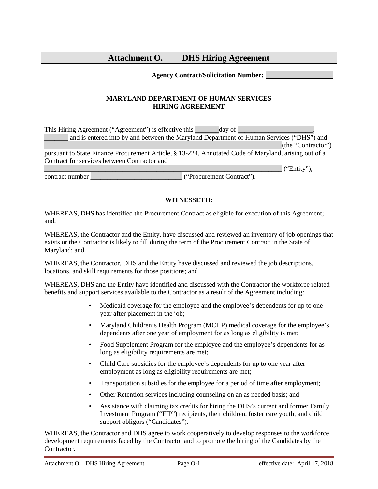# **Attachment O. DHS Hiring Agreement**

#### **Agency Contract/Solicitation Number: \_\_\_\_\_\_\_\_\_\_\_\_\_\_\_\_\_\_\_\_**

## **MARYLAND DEPARTMENT OF HUMAN SERVICES HIRING AGREEMENT**

| This Hiring Agreement ("Agreement") is effective this | day of                                                                                                |
|-------------------------------------------------------|-------------------------------------------------------------------------------------------------------|
|                                                       | and is entered into by and between the Maryland Department of Human Services ("DHS") and              |
|                                                       | (the "Contractor")                                                                                    |
|                                                       | pursuant to State Finance Procurement Article, § 13-224, Annotated Code of Maryland, arising out of a |
| Contract for services between Contractor and          |                                                                                                       |
|                                                       | ("Entity"),                                                                                           |
| contract number                                       | ("Procurement Contract").                                                                             |

### **WITNESSETH:**

WHEREAS, DHS has identified the Procurement Contract as eligible for execution of this Agreement; and,

WHEREAS, the Contractor and the Entity, have discussed and reviewed an inventory of job openings that exists or the Contractor is likely to fill during the term of the Procurement Contract in the State of Maryland; and

WHEREAS, the Contractor, DHS and the Entity have discussed and reviewed the job descriptions, locations, and skill requirements for those positions; and

WHEREAS, DHS and the Entity have identified and discussed with the Contractor the workforce related benefits and support services available to the Contractor as a result of the Agreement including:

- Medicaid coverage for the employee and the employee's dependents for up to one year after placement in the job;
- Maryland Children's Health Program (MCHP) medical coverage for the employee's dependents after one year of employment for as long as eligibility is met;
- Food Supplement Program for the employee and the employee's dependents for as long as eligibility requirements are met;
- Child Care subsidies for the employee's dependents for up to one year after employment as long as eligibility requirements are met;
- Transportation subsidies for the employee for a period of time after employment;
- Other Retention services including counseling on an as needed basis; and
- Assistance with claiming tax credits for hiring the DHS's current and former Family Investment Program ("FIP") recipients, their children, foster care youth, and child support obligors ("Candidates").

WHEREAS, the Contractor and DHS agree to work cooperatively to develop responses to the workforce development requirements faced by the Contractor and to promote the hiring of the Candidates by the Contractor.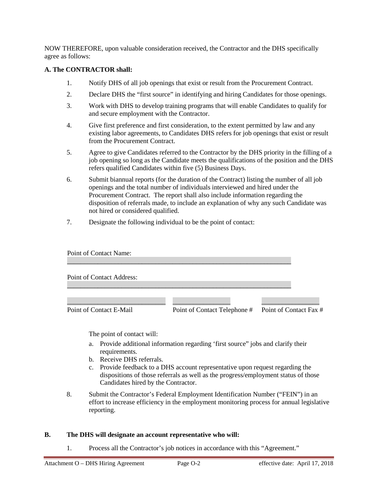NOW THEREFORE, upon valuable consideration received, the Contractor and the DHS specifically agree as follows:

## **A. The CONTRACTOR shall:**

- 1. Notify DHS of all job openings that exist or result from the Procurement Contract.
- 2. Declare DHS the "first source" in identifying and hiring Candidates for those openings.
- 3. Work with DHS to develop training programs that will enable Candidates to qualify for and secure employment with the Contractor.
- 4. Give first preference and first consideration, to the extent permitted by law and any existing labor agreements, to Candidates DHS refers for job openings that exist or result from the Procurement Contract.
- 5. Agree to give Candidates referred to the Contractor by the DHS priority in the filling of a job opening so long as the Candidate meets the qualifications of the position and the DHS refers qualified Candidates within five (5) Business Days.
- 6. Submit biannual reports (for the duration of the Contract) listing the number of all job openings and the total number of individuals interviewed and hired under the Procurement Contract. The report shall also include information regarding the disposition of referrals made, to include an explanation of why any such Candidate was not hired or considered qualified.
- 7. Designate the following individual to be the point of contact:

| Point of Contact Name:    |                              |                        |
|---------------------------|------------------------------|------------------------|
| Point of Contact Address: |                              |                        |
| Point of Contact E-Mail   | Point of Contact Telephone # | Point of Contact Fax # |

The point of contact will:

- a. Provide additional information regarding 'first source" jobs and clarify their requirements.
- b. Receive DHS referrals.
- c. Provide feedback to a DHS account representative upon request regarding the dispositions of those referrals as well as the progress/employment status of those Candidates hired by the Contractor.
- 8. Submit the Contractor's Federal Employment Identification Number ("FEIN") in an effort to increase efficiency in the employment monitoring process for annual legislative reporting.

#### **B. The DHS will designate an account representative who will:**

1. Process all the Contractor's job notices in accordance with this "Agreement."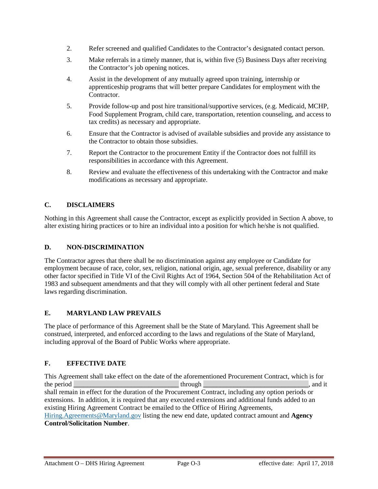- 2. Refer screened and qualified Candidates to the Contractor's designated contact person.
- 3. Make referrals in a timely manner, that is, within five (5) Business Days after receiving the Contractor's job opening notices.
- 4. Assist in the development of any mutually agreed upon training, internship or apprenticeship programs that will better prepare Candidates for employment with the Contractor.
- 5. Provide follow-up and post hire transitional/supportive services, (e.g. Medicaid, MCHP, Food Supplement Program, child care, transportation, retention counseling, and access to tax credits) as necessary and appropriate.
- 6. Ensure that the Contractor is advised of available subsidies and provide any assistance to the Contractor to obtain those subsidies.
- 7. Report the Contractor to the procurement Entity if the Contractor does not fulfill its responsibilities in accordance with this Agreement.
- 8. Review and evaluate the effectiveness of this undertaking with the Contractor and make modifications as necessary and appropriate.

# **C. DISCLAIMERS**

Nothing in this Agreement shall cause the Contractor, except as explicitly provided in Section A above, to alter existing hiring practices or to hire an individual into a position for which he/she is not qualified.

## **D. NON-DISCRIMINATION**

The Contractor agrees that there shall be no discrimination against any employee or Candidate for employment because of race, color, sex, religion, national origin, age, sexual preference, disability or any other factor specified in Title VI of the Civil Rights Act of 1964, Section 504 of the Rehabilitation Act of 1983 and subsequent amendments and that they will comply with all other pertinent federal and State laws regarding discrimination.

## **E. MARYLAND LAW PREVAILS**

The place of performance of this Agreement shall be the State of Maryland. This Agreement shall be construed, interpreted, and enforced according to the laws and regulations of the State of Maryland, including approval of the Board of Public Works where appropriate.

# **F. EFFECTIVE DATE**

This Agreement shall take effect on the date of the aforementioned Procurement Contract, which is for the period \_\_\_\_\_\_\_\_\_\_\_\_\_\_\_\_\_\_\_\_\_\_\_\_\_\_\_\_\_\_\_ through \_\_\_\_\_\_\_\_\_\_\_\_\_\_\_\_\_\_\_\_\_\_\_\_\_\_\_\_\_\_\_, and it shall remain in effect for the duration of the Procurement Contract, including any option periods or extensions. In addition, it is required that any executed extensions and additional funds added to an existing Hiring Agreement Contract be emailed to the Office of Hiring Agreements, [Hiring.Agreements@Maryland.gov](mailto:Hiring.Agreements@Maryland.gov) listing the new end date, updated contract amount and **Agency Control/Solicitation Number**.